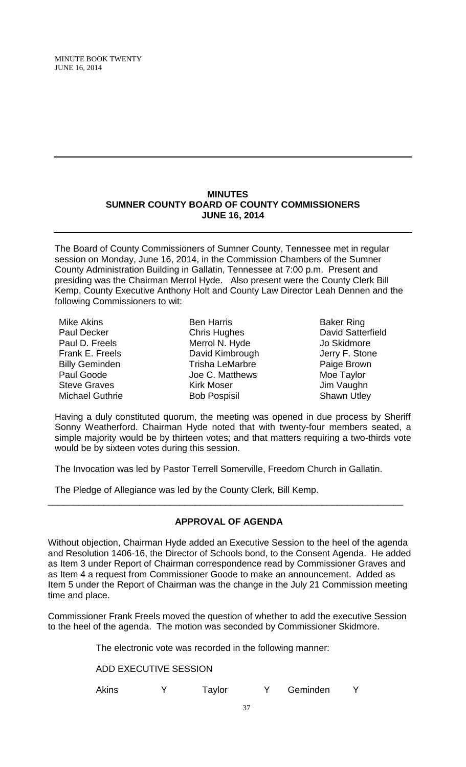#### **MINUTES SUMNER COUNTY BOARD OF COUNTY COMMISSIONERS JUNE 16, 2014**

The Board of County Commissioners of Sumner County, Tennessee met in regular session on Monday, June 16, 2014, in the Commission Chambers of the Sumner County Administration Building in Gallatin, Tennessee at 7:00 p.m. Present and presiding was the Chairman Merrol Hyde. Also present were the County Clerk Bill Kemp, County Executive Anthony Holt and County Law Director Leah Dennen and the following Commissioners to wit:

| Mike Akins             |
|------------------------|
| <b>Paul Decker</b>     |
| Paul D. Freels         |
| <b>Frank E. Freels</b> |
| <b>Billy Geminden</b>  |
| Paul Goode             |
| <b>Steve Graves</b>    |
| <b>Michael Guthrie</b> |

Ben Harris Chris Hughes Merrol N. Hyde David Kimbrough Trisha LeMarbre Joe C. Matthews Kirk Moser Bob Pospisil

Baker Ring David Satterfield Jo Skidmore Jerry F. Stone Paige Brown Moe Taylor Jim Vaughn Shawn Utley

Having a duly constituted quorum, the meeting was opened in due process by Sheriff Sonny Weatherford. Chairman Hyde noted that with twenty-four members seated, a simple majority would be by thirteen votes; and that matters requiring a two-thirds vote would be by sixteen votes during this session.

The Invocation was led by Pastor Terrell Somerville, Freedom Church in Gallatin.

The Pledge of Allegiance was led by the County Clerk, Bill Kemp.

# **APPROVAL OF AGENDA**

\_\_\_\_\_\_\_\_\_\_\_\_\_\_\_\_\_\_\_\_\_\_\_\_\_\_\_\_\_\_\_\_\_\_\_\_\_\_\_\_\_\_\_\_\_\_\_\_\_\_\_\_\_\_\_\_\_\_\_\_\_\_\_\_\_\_\_\_\_\_

Without objection, Chairman Hyde added an Executive Session to the heel of the agenda and Resolution 1406-16, the Director of Schools bond, to the Consent Agenda. He added as Item 3 under Report of Chairman correspondence read by Commissioner Graves and as Item 4 a request from Commissioner Goode to make an announcement. Added as Item 5 under the Report of Chairman was the change in the July 21 Commission meeting time and place.

Commissioner Frank Freels moved the question of whether to add the executive Session to the heel of the agenda. The motion was seconded by Commissioner Skidmore.

The electronic vote was recorded in the following manner:

ADD EXECUTIVE SESSION

Akins Y Taylor Y Geminden Y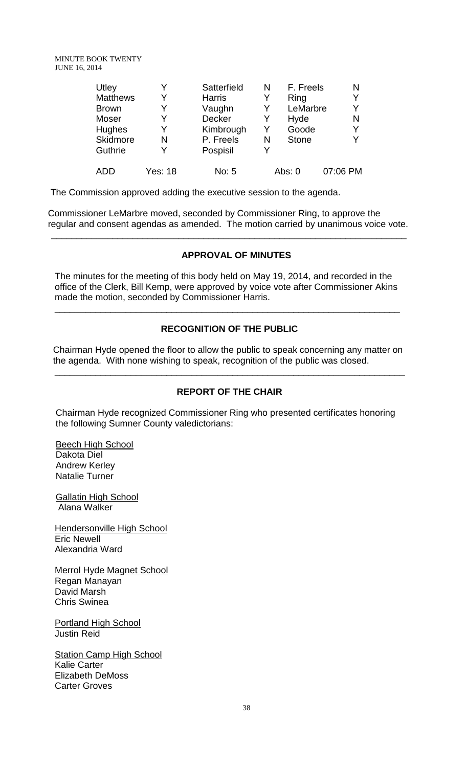| Utley           |         | Satterfield   | N | F. Freels    | Ν        |
|-----------------|---------|---------------|---|--------------|----------|
| <b>Matthews</b> | Y       | <b>Harris</b> | Y | Ring         | Y        |
| <b>Brown</b>    | Y       | Vaughn        | Y | LeMarbre     | Y        |
| Moser           | Y       | <b>Decker</b> | Y | Hyde         | N        |
| Hughes          | Y       | Kimbrough     | Y | Goode        | Y        |
| Skidmore        | N       | P. Freels     | N | <b>Stone</b> | Y        |
| Guthrie         | Y       | Pospisil      | Y |              |          |
| ADD             | Yes: 18 | No: 5         |   | Abs: 0       | 07:06 PM |
|                 |         |               |   |              |          |

The Commission approved adding the executive session to the agenda.

Commissioner LeMarbre moved, seconded by Commissioner Ring, to approve the regular and consent agendas as amended. The motion carried by unanimous voice vote.

 $\overline{\phantom{a}}$  , and the contribution of the contribution of the contribution of the contribution of the contribution of the contribution of the contribution of the contribution of the contribution of the contribution of the

## **APPROVAL OF MINUTES**

The minutes for the meeting of this body held on May 19, 2014, and recorded in the office of the Clerk, Bill Kemp, were approved by voice vote after Commissioner Akins made the motion, seconded by Commissioner Harris.

\_\_\_\_\_\_\_\_\_\_\_\_\_\_\_\_\_\_\_\_\_\_\_\_\_\_\_\_\_\_\_\_\_\_\_\_\_\_\_\_\_\_\_\_\_\_\_\_\_\_\_\_\_\_\_\_\_\_\_\_\_\_\_\_\_\_\_\_

# **RECOGNITION OF THE PUBLIC**

 Chairman Hyde opened the floor to allow the public to speak concerning any matter on the agenda. With none wishing to speak, recognition of the public was closed.

\_\_\_\_\_\_\_\_\_\_\_\_\_\_\_\_\_\_\_\_\_\_\_\_\_\_\_\_\_\_\_\_\_\_\_\_\_\_\_\_\_\_\_\_\_\_\_\_\_\_\_\_\_\_\_\_\_\_\_\_\_\_\_\_\_\_\_\_\_

## **REPORT OF THE CHAIR**

 Chairman Hyde recognized Commissioner Ring who presented certificates honoring the following Sumner County valedictorians:

 Beech High School Dakota Diel Andrew Kerley Natalie Turner

**Gallatin High School** Alana Walker

Hendersonville High School Eric Newell Alexandria Ward

Merrol Hyde Magnet School Regan Manayan David Marsh Chris Swinea

Portland High School Justin Reid

**Station Camp High School** Kalie Carter Elizabeth DeMoss Carter Groves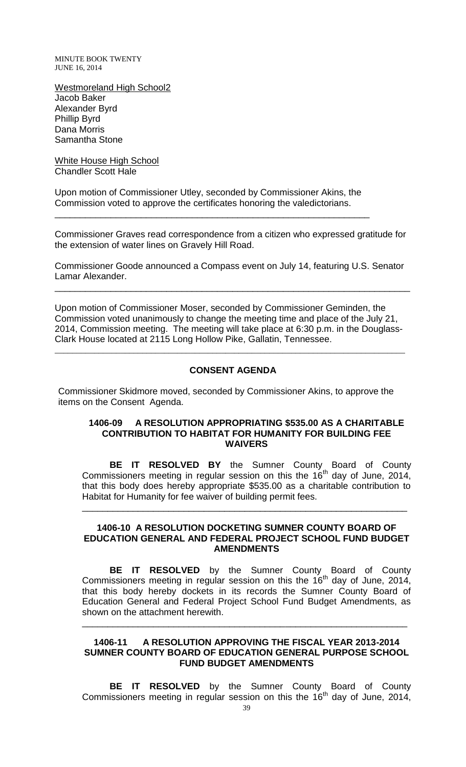Westmoreland High School2 Jacob Baker Alexander Byrd Phillip Byrd Dana Morris Samantha Stone

White House High School Chandler Scott Hale

Upon motion of Commissioner Utley, seconded by Commissioner Akins, the Commission voted to approve the certificates honoring the valedictorians.

\_\_\_\_\_\_\_\_\_\_\_\_\_\_\_\_\_\_\_\_\_\_\_\_\_\_\_\_\_\_\_\_\_\_\_\_\_\_\_\_\_\_\_\_\_\_\_\_\_\_\_\_\_\_\_\_\_\_\_\_\_\_

Commissioner Graves read correspondence from a citizen who expressed gratitude for the extension of water lines on Gravely Hill Road.

Commissioner Goode announced a Compass event on July 14, featuring U.S. Senator Lamar Alexander.

\_\_\_\_\_\_\_\_\_\_\_\_\_\_\_\_\_\_\_\_\_\_\_\_\_\_\_\_\_\_\_\_\_\_\_\_\_\_\_\_\_\_\_\_\_\_\_\_\_\_\_\_\_\_\_\_\_\_\_\_\_\_\_\_\_\_\_\_\_\_

Upon motion of Commissioner Moser, seconded by Commissioner Geminden, the Commission voted unanimously to change the meeting time and place of the July 21, 2014, Commission meeting. The meeting will take place at 6:30 p.m. in the Douglass-Clark House located at 2115 Long Hollow Pike, Gallatin, Tennessee.

\_\_\_\_\_\_\_\_\_\_\_\_\_\_\_\_\_\_\_\_\_\_\_\_\_\_\_\_\_\_\_\_\_\_\_\_\_\_\_\_\_\_\_\_\_\_\_\_\_\_\_\_\_\_\_\_\_\_\_\_\_\_\_\_\_\_\_\_\_\_\_\_\_\_\_\_\_\_\_\_

#### **CONSENT AGENDA**

Commissioner Skidmore moved, seconded by Commissioner Akins, to approve the items on the Consent Agenda.

#### **1406-09 A RESOLUTION APPROPRIATING \$535.00 AS A CHARITABLE CONTRIBUTION TO HABITAT FOR HUMANITY FOR BUILDING FEE WAIVERS**

**BE IT RESOLVED BY** the Sumner County Board of County Commissioners meeting in regular session on this the 16<sup>th</sup> day of June, 2014, that this body does hereby appropriate \$535.00 as a charitable contribution to Habitat for Humanity for fee waiver of building permit fees.

\_\_\_\_\_\_\_\_\_\_\_\_\_\_\_\_\_\_\_\_\_\_\_\_\_\_\_\_\_\_\_\_\_\_\_\_\_\_\_\_\_\_\_\_\_\_\_\_\_\_\_\_\_\_\_\_\_\_\_\_\_\_\_\_

#### **1406-10 A RESOLUTION DOCKETING SUMNER COUNTY BOARD OF EDUCATION GENERAL AND FEDERAL PROJECT SCHOOL FUND BUDGET AMENDMENTS**

**BE IT RESOLVED** by the Sumner County Board of County Commissioners meeting in regular session on this the  $16<sup>th</sup>$  day of June, 2014, that this body hereby dockets in its records the Sumner County Board of Education General and Federal Project School Fund Budget Amendments, as shown on the attachment herewith.

## **1406-11 A RESOLUTION APPROVING THE FISCAL YEAR 2013-2014 SUMNER COUNTY BOARD OF EDUCATION GENERAL PURPOSE SCHOOL FUND BUDGET AMENDMENTS**

\_\_\_\_\_\_\_\_\_\_\_\_\_\_\_\_\_\_\_\_\_\_\_\_\_\_\_\_\_\_\_\_\_\_\_\_\_\_\_\_\_\_\_\_\_\_\_\_\_\_\_\_\_\_\_\_\_\_\_\_\_\_\_\_

**BE IT RESOLVED** by the Sumner County Board of County Commissioners meeting in regular session on this the  $16<sup>th</sup>$  day of June, 2014,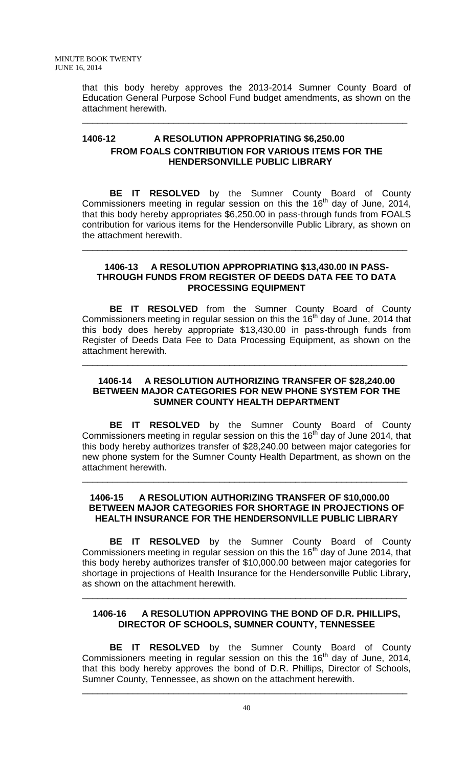that this body hereby approves the 2013-2014 Sumner County Board of Education General Purpose School Fund budget amendments, as shown on the attachment herewith.

\_\_\_\_\_\_\_\_\_\_\_\_\_\_\_\_\_\_\_\_\_\_\_\_\_\_\_\_\_\_\_\_\_\_\_\_\_\_\_\_\_\_\_\_\_\_\_\_\_\_\_\_\_\_\_\_\_\_\_\_\_\_\_\_

# **1406-12 A RESOLUTION APPROPRIATING \$6,250.00 FROM FOALS CONTRIBUTION FOR VARIOUS ITEMS FOR THE HENDERSONVILLE PUBLIC LIBRARY**

**BE IT RESOLVED** by the Sumner County Board of County Commissioners meeting in regular session on this the  $16<sup>th</sup>$  day of June, 2014, that this body hereby appropriates \$6,250.00 in pass-through funds from FOALS contribution for various items for the Hendersonville Public Library, as shown on the attachment herewith.

\_\_\_\_\_\_\_\_\_\_\_\_\_\_\_\_\_\_\_\_\_\_\_\_\_\_\_\_\_\_\_\_\_\_\_\_\_\_\_\_\_\_\_\_\_\_\_\_\_\_\_\_\_\_\_\_\_\_\_\_\_\_\_\_

## **1406-13 A RESOLUTION APPROPRIATING \$13,430.00 IN PASS-THROUGH FUNDS FROM REGISTER OF DEEDS DATA FEE TO DATA PROCESSING EQUIPMENT**

**BE IT RESOLVED** from the Sumner County Board of County Commissioners meeting in regular session on this the  $16<sup>th</sup>$  day of June, 2014 that this body does hereby appropriate \$13,430.00 in pass-through funds from Register of Deeds Data Fee to Data Processing Equipment, as shown on the attachment herewith.

\_\_\_\_\_\_\_\_\_\_\_\_\_\_\_\_\_\_\_\_\_\_\_\_\_\_\_\_\_\_\_\_\_\_\_\_\_\_\_\_\_\_\_\_\_\_\_\_\_\_\_\_\_\_\_\_\_\_\_\_\_\_\_\_

## **1406-14 A RESOLUTION AUTHORIZING TRANSFER OF \$28,240.00 BETWEEN MAJOR CATEGORIES FOR NEW PHONE SYSTEM FOR THE SUMNER COUNTY HEALTH DEPARTMENT**

**BE IT RESOLVED** by the Sumner County Board of County Commissioners meeting in regular session on this the 16<sup>th</sup> day of June 2014, that this body hereby authorizes transfer of \$28,240.00 between major categories for new phone system for the Sumner County Health Department, as shown on the attachment herewith.

## **1406-15 A RESOLUTION AUTHORIZING TRANSFER OF \$10,000.00 BETWEEN MAJOR CATEGORIES FOR SHORTAGE IN PROJECTIONS OF HEALTH INSURANCE FOR THE HENDERSONVILLE PUBLIC LIBRARY**

\_\_\_\_\_\_\_\_\_\_\_\_\_\_\_\_\_\_\_\_\_\_\_\_\_\_\_\_\_\_\_\_\_\_\_\_\_\_\_\_\_\_\_\_\_\_\_\_\_\_\_\_\_\_\_\_\_\_\_\_\_\_\_\_

**BE IT RESOLVED** by the Sumner County Board of County Commissioners meeting in regular session on this the  $16<sup>th</sup>$  day of June 2014, that this body hereby authorizes transfer of \$10,000.00 between major categories for shortage in projections of Health Insurance for the Hendersonville Public Library, as shown on the attachment herewith.

# **1406-16 A RESOLUTION APPROVING THE BOND OF D.R. PHILLIPS, DIRECTOR OF SCHOOLS, SUMNER COUNTY, TENNESSEE**

\_\_\_\_\_\_\_\_\_\_\_\_\_\_\_\_\_\_\_\_\_\_\_\_\_\_\_\_\_\_\_\_\_\_\_\_\_\_\_\_\_\_\_\_\_\_\_\_\_\_\_\_\_\_\_\_\_\_\_\_\_\_\_\_

**BE IT RESOLVED** by the Sumner County Board of County Commissioners meeting in regular session on this the  $16<sup>th</sup>$  day of June, 2014, that this body hereby approves the bond of D.R. Phillips, Director of Schools, Sumner County, Tennessee, as shown on the attachment herewith.

\_\_\_\_\_\_\_\_\_\_\_\_\_\_\_\_\_\_\_\_\_\_\_\_\_\_\_\_\_\_\_\_\_\_\_\_\_\_\_\_\_\_\_\_\_\_\_\_\_\_\_\_\_\_\_\_\_\_\_\_\_\_\_\_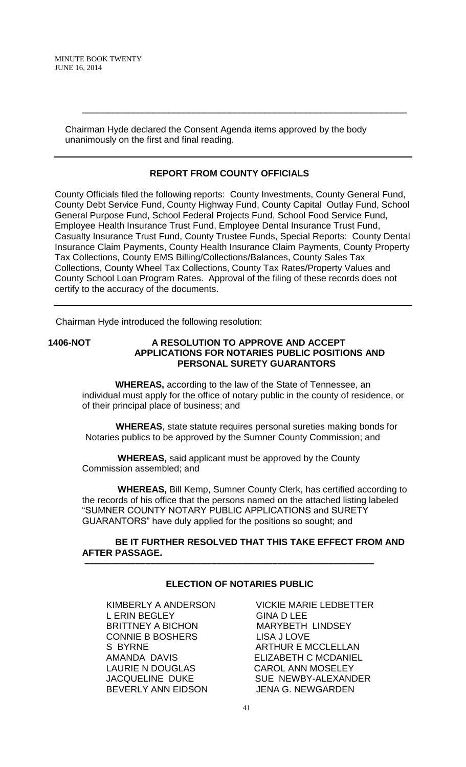> Chairman Hyde declared the Consent Agenda items approved by the body unanimously on the first and final reading.

# **REPORT FROM COUNTY OFFICIALS**

\_\_\_\_\_\_\_\_\_\_\_\_\_\_\_\_\_\_\_\_\_\_\_\_\_\_\_\_\_\_\_\_\_\_\_\_\_\_\_\_\_\_\_\_\_\_\_\_\_\_\_\_\_\_\_\_\_\_\_\_\_\_\_\_

County Officials filed the following reports: County Investments, County General Fund, County Debt Service Fund, County Highway Fund, County Capital Outlay Fund, School General Purpose Fund, School Federal Projects Fund, School Food Service Fund, Employee Health Insurance Trust Fund, Employee Dental Insurance Trust Fund, Casualty Insurance Trust Fund, County Trustee Funds, Special Reports: County Dental Insurance Claim Payments, County Health Insurance Claim Payments, County Property Tax Collections, County EMS Billing/Collections/Balances, County Sales Tax Collections, County Wheel Tax Collections, County Tax Rates/Property Values and County School Loan Program Rates. Approval of the filing of these records does not certify to the accuracy of the documents.

Chairman Hyde introduced the following resolution:

### **1406-NOT A RESOLUTION TO APPROVE AND ACCEPT APPLICATIONS FOR NOTARIES PUBLIC POSITIONS AND PERSONAL SURETY GUARANTORS**

 **WHEREAS,** according to the law of the State of Tennessee, an individual must apply for the office of notary public in the county of residence, or of their principal place of business; and

 **WHEREAS**, state statute requires personal sureties making bonds for Notaries publics to be approved by the Sumner County Commission; and

 **WHEREAS,** said applicant must be approved by the County Commission assembled; and

 **–––––––––––––––––––––––––––––––––––––––––––––––––––––––––**

 **WHEREAS,** Bill Kemp, Sumner County Clerk, has certified according to the records of his office that the persons named on the attached listing labeled "SUMNER COUNTY NOTARY PUBLIC APPLICATIONS and SURETY GUARANTORS" have duly applied for the positions so sought; and

### **BE IT FURTHER RESOLVED THAT THIS TAKE EFFECT FROM AND AFTER PASSAGE.**

## **ELECTION OF NOTARIES PUBLIC**

L ERIN BEGLEY GINA D LEE BRITTNEY A BICHON MARYBETH LINDSEY CONNIE B BOSHERS LISA J LOVE S BYRNE ARTHUR E MCCLELLAN AMANDA DAVIS ELIZABETH C MCDANIEL LAURIE N DOUGLAS CAROL ANN MOSELEY BEVERLY ANN EIDSON JENA G. NEWGARDEN

KIMBERLY A ANDERSON VICKIE MARIE LEDBETTER JACQUELINE DUKE SUE NEWBY-ALEXANDER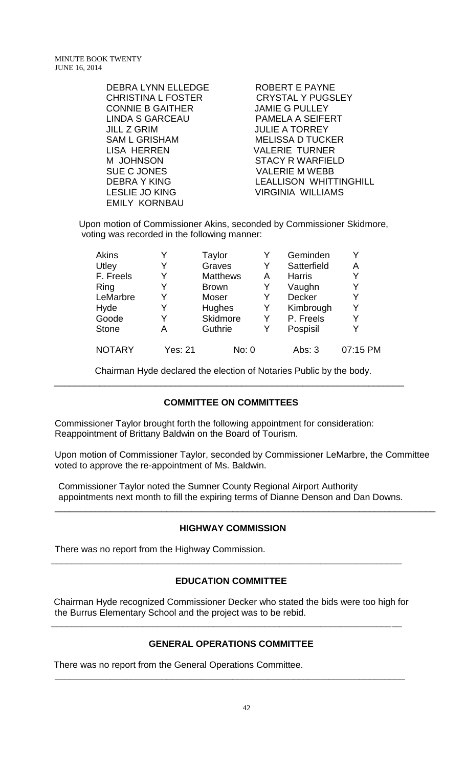| <b>DEBRA LYNN ELLEDGE</b> | <b>ROBERT E PAYNE</b>         |
|---------------------------|-------------------------------|
| CHRISTINA L FOSTER        | <b>CRYSTAL Y PUGSLEY</b>      |
| <b>CONNIE B GAITHER</b>   | <b>JAMIE G PULLEY</b>         |
| LINDA S GARCEAU           | PAMELA A SEIFERT              |
| JILL Z GRIM               | <b>JULIE A TORREY</b>         |
| SAM L GRISHAM             | <b>MELISSA D TUCKER</b>       |
| LISA HERREN               | <b>VALERIE TURNER</b>         |
| M JOHNSON                 | <b>STACY R WARFIELD</b>       |
| SUE C JONES               | <b>VALERIE M WEBB</b>         |
| <b>DEBRA Y KING</b>       | <b>LEALLISON WHITTINGHILL</b> |
| <b>LESLIE JO KING</b>     | <b>VIRGINIA WILLIAMS</b>      |
| <b>EMILY KORNBAU</b>      |                               |

Upon motion of Commissioner Akins, seconded by Commissioner Skidmore, voting was recorded in the following manner:

| <b>Akins</b>  |                | Taylor          |   | Geminden      | Y        |
|---------------|----------------|-----------------|---|---------------|----------|
| Utley         | Y              | Graves          | Y | Satterfield   | A        |
| F. Freels     | Y              | <b>Matthews</b> | A | <b>Harris</b> | Y        |
| Ring          | Y              | <b>Brown</b>    | Y | Vaughn        | Y        |
| LeMarbre      | Y              | Moser           | Y | <b>Decker</b> | Y        |
| Hyde          |                | <b>Hughes</b>   | Y | Kimbrough     | Y        |
| Goode         | Y              | <b>Skidmore</b> | Y | P. Freels     | Y        |
| <b>Stone</b>  | А              | Guthrie         |   | Pospisil      | Y        |
| <b>NOTARY</b> | <b>Yes: 21</b> | No: 0           |   | Abs: $3$      | 07:15 PM |

 Chairman Hyde declared the election of Notaries Public by the body. \_\_\_\_\_\_\_\_\_\_\_\_\_\_\_\_\_\_\_\_\_\_\_\_\_\_\_\_\_\_\_\_\_\_\_\_\_\_\_\_\_\_\_\_\_\_\_\_\_\_\_\_\_\_\_\_\_\_\_\_\_\_\_\_\_\_\_\_\_

### **COMMITTEE ON COMMITTEES**

Commissioner Taylor brought forth the following appointment for consideration: Reappointment of Brittany Baldwin on the Board of Tourism.

Upon motion of Commissioner Taylor, seconded by Commissioner LeMarbre, the Committee voted to approve the re-appointment of Ms. Baldwin.

\_\_\_\_\_\_\_\_\_\_\_\_\_\_\_\_\_\_\_\_\_\_\_\_\_\_\_\_\_\_\_\_\_\_\_\_\_\_\_\_\_\_\_\_\_\_\_\_\_\_\_\_\_\_\_\_\_\_\_\_\_\_\_\_\_\_\_\_\_\_\_\_\_\_\_

Commissioner Taylor noted the Sumner County Regional Airport Authority appointments next month to fill the expiring terms of Dianne Denson and Dan Downs.

### **HIGHWAY COMMISSION**

There was no report from the Highway Commission.

### **EDUCATION COMMITTEE**

**\_\_\_\_\_\_\_\_\_\_\_\_\_\_\_\_\_\_\_\_\_\_\_\_\_\_\_\_\_\_\_\_\_\_\_\_\_\_\_\_\_\_\_\_\_\_\_\_\_\_\_\_\_\_\_\_\_\_\_\_\_\_\_\_\_\_\_\_\_**

Chairman Hyde recognized Commissioner Decker who stated the bids were too high for the Burrus Elementary School and the project was to be rebid.

### **GENERAL OPERATIONS COMMITTEE**

**\_\_\_\_\_\_\_\_\_\_\_\_\_\_\_\_\_\_\_\_\_\_\_\_\_\_\_\_\_\_\_\_\_\_\_\_\_\_\_\_\_\_\_\_\_\_\_\_\_\_\_\_\_\_\_\_\_\_\_\_\_\_\_\_\_\_\_\_\_**

**\_\_\_\_\_\_\_\_\_\_\_\_\_\_\_\_\_\_\_\_\_\_\_\_\_\_\_\_\_\_\_\_\_\_\_\_\_\_\_\_\_\_\_\_\_\_\_\_\_\_\_\_\_\_\_\_\_\_\_\_\_\_\_\_\_\_\_\_\_**

There was no report from the General Operations Committee.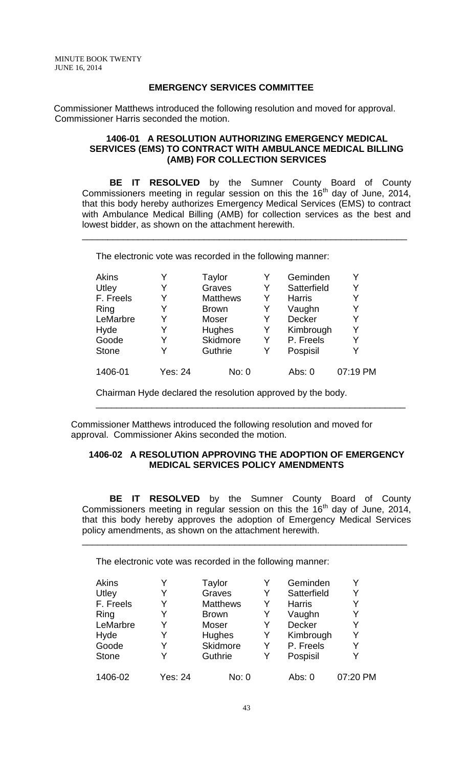## **EMERGENCY SERVICES COMMITTEE**

Commissioner Matthews introduced the following resolution and moved for approval. Commissioner Harris seconded the motion.

#### **1406-01 A RESOLUTION AUTHORIZING EMERGENCY MEDICAL SERVICES (EMS) TO CONTRACT WITH AMBULANCE MEDICAL BILLING (AMB) FOR COLLECTION SERVICES**

**BE IT RESOLVED** by the Sumner County Board of County Commissioners meeting in regular session on this the  $16<sup>th</sup>$  day of June, 2014, that this body hereby authorizes Emergency Medical Services (EMS) to contract with Ambulance Medical Billing (AMB) for collection services as the best and lowest bidder, as shown on the attachment herewith.

\_\_\_\_\_\_\_\_\_\_\_\_\_\_\_\_\_\_\_\_\_\_\_\_\_\_\_\_\_\_\_\_\_\_\_\_\_\_\_\_\_\_\_\_\_\_\_\_\_\_\_\_\_\_\_\_\_\_\_\_\_\_\_\_

The electronic vote was recorded in the following manner:

| <b>Akins</b> |                | Taylor          |   | Geminden      |          |
|--------------|----------------|-----------------|---|---------------|----------|
| Utley        | Y              | Graves          | Y | Satterfield   | Y        |
| F. Freels    | Y              | <b>Matthews</b> | Y | <b>Harris</b> | Y        |
| Ring         | Y              | <b>Brown</b>    | Y | Vaughn        | Y        |
| LeMarbre     | Y              | Moser           | Y | <b>Decker</b> | Y        |
| Hyde         | Y              | Hughes          | Y | Kimbrough     | Y        |
| Goode        | Y              | Skidmore        | Y | P. Freels     | Y        |
| <b>Stone</b> | Y              | Guthrie         | Y | Pospisil      | Y        |
| 1406-01      | <b>Yes: 24</b> | No: 0           |   | Abs: 0        | 07:19 PM |

Chairman Hyde declared the resolution approved by the body.

Commissioner Matthews introduced the following resolution and moved for approval. Commissioner Akins seconded the motion.

## **1406-02 A RESOLUTION APPROVING THE ADOPTION OF EMERGENCY MEDICAL SERVICES POLICY AMENDMENTS**

\_\_\_\_\_\_\_\_\_\_\_\_\_\_\_\_\_\_\_\_\_\_\_\_\_\_\_\_\_\_\_\_\_\_\_\_\_\_\_\_\_\_\_\_\_\_\_\_\_\_\_\_\_\_\_\_\_\_\_\_\_

**BE IT RESOLVED** by the Sumner County Board of County Commissioners meeting in regular session on this the  $16<sup>th</sup>$  day of June, 2014, that this body hereby approves the adoption of Emergency Medical Services policy amendments, as shown on the attachment herewith.

\_\_\_\_\_\_\_\_\_\_\_\_\_\_\_\_\_\_\_\_\_\_\_\_\_\_\_\_\_\_\_\_\_\_\_\_\_\_\_\_\_\_\_\_\_\_\_\_\_\_\_\_\_\_\_\_\_\_\_\_\_\_\_\_

The electronic vote was recorded in the following manner:

| <b>Akins</b> |         | Taylor          |   | Geminden      |          |
|--------------|---------|-----------------|---|---------------|----------|
| Utley        | Y       | Graves          | Y | Satterfield   | Y        |
| F. Freels    | Y       | <b>Matthews</b> | Y | <b>Harris</b> | Y        |
| Ring         | Y       | <b>Brown</b>    | Y | Vaughn        | Y        |
| LeMarbre     | Y       | Moser           | Y | Decker        | Y        |
| Hyde         | Y       | Hughes          | Y | Kimbrough     | Y        |
| Goode        | Y       | Skidmore        | Y | P. Freels     | Y        |
| <b>Stone</b> | Y       | Guthrie         | Y | Pospisil      | Y        |
| 1406-02      | Yes: 24 | No: 0           |   | Abs: 0        | 07:20 PM |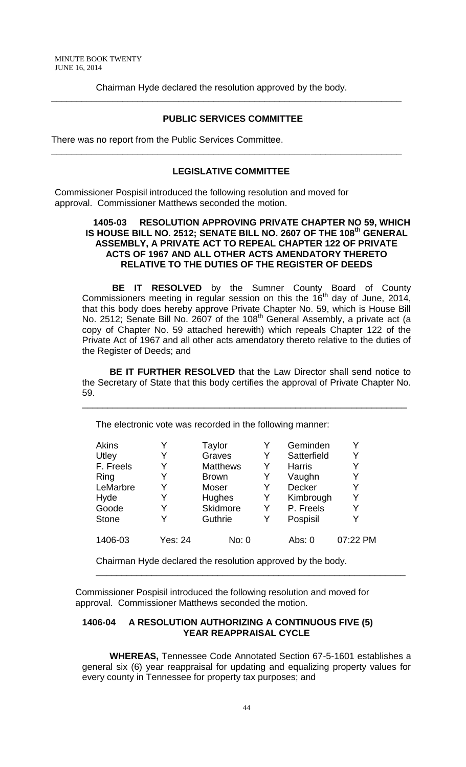Chairman Hyde declared the resolution approved by the body. **\_\_\_\_\_\_\_\_\_\_\_\_\_\_\_\_\_\_\_\_\_\_\_\_\_\_\_\_\_\_\_\_\_\_\_\_\_\_\_\_\_\_\_\_\_\_\_\_\_\_\_\_\_\_\_\_\_\_\_\_\_\_\_\_\_\_\_\_\_**

### **PUBLIC SERVICES COMMITTEE**

There was no report from the Public Services Committee.

#### **LEGISLATIVE COMMITTEE**

**\_\_\_\_\_\_\_\_\_\_\_\_\_\_\_\_\_\_\_\_\_\_\_\_\_\_\_\_\_\_\_\_\_\_\_\_\_\_\_\_\_\_\_\_\_\_\_\_\_\_\_\_\_\_\_\_\_\_\_\_\_\_\_\_\_\_\_\_\_**

Commissioner Pospisil introduced the following resolution and moved for approval. Commissioner Matthews seconded the motion.

#### **1405-03 RESOLUTION APPROVING PRIVATE CHAPTER NO 59, WHICH IS HOUSE BILL NO. 2512; SENATE BILL NO. 2607 OF THE 108th GENERAL ASSEMBLY, A PRIVATE ACT TO REPEAL CHAPTER 122 OF PRIVATE ACTS OF 1967 AND ALL OTHER ACTS AMENDATORY THERETO RELATIVE TO THE DUTIES OF THE REGISTER OF DEEDS**

**BE IT RESOLVED** by the Sumner County Board of County Commissioners meeting in regular session on this the  $16<sup>th</sup>$  day of June, 2014, that this body does hereby approve Private Chapter No. 59, which is House Bill No. 2512; Senate Bill No. 2607 of the 108<sup>th</sup> General Assembly, a private act (a copy of Chapter No. 59 attached herewith) which repeals Chapter 122 of the Private Act of 1967 and all other acts amendatory thereto relative to the duties of the Register of Deeds; and

**BE IT FURTHER RESOLVED** that the Law Director shall send notice to the Secretary of State that this body certifies the approval of Private Chapter No. 59.

\_\_\_\_\_\_\_\_\_\_\_\_\_\_\_\_\_\_\_\_\_\_\_\_\_\_\_\_\_\_\_\_\_\_\_\_\_\_\_\_\_\_\_\_\_\_\_\_\_\_\_\_\_\_\_\_\_\_\_\_\_\_\_\_

The electronic vote was recorded in the following manner:

| <b>Akins</b> |         | Taylor          |   | Geminden      | Y        |
|--------------|---------|-----------------|---|---------------|----------|
| Utley        |         | Graves          | Y | Satterfield   | Y        |
| F. Freels    | Y       | <b>Matthews</b> | Y | <b>Harris</b> | Y        |
| Ring         | Y       | <b>Brown</b>    | Y | Vaughn        | Y        |
| LeMarbre     |         | Moser           | Y | <b>Decker</b> | Y        |
| Hyde         |         | <b>Hughes</b>   | Y | Kimbrough     | Y        |
| Goode        |         | Skidmore        | Y | P. Freels     | Y        |
| <b>Stone</b> |         | Guthrie         | Y | Pospisil      | Y        |
| 1406-03      | Yes: 24 | No: 0           |   | Abs: 0        | 07:22 PM |

Chairman Hyde declared the resolution approved by the body.

Commissioner Pospisil introduced the following resolution and moved for approval. Commissioner Matthews seconded the motion.

#### **1406-04 A RESOLUTION AUTHORIZING A CONTINUOUS FIVE (5) YEAR REAPPRAISAL CYCLE**

**WHEREAS,** Tennessee Code Annotated Section 67-5-1601 establishes a general six (6) year reappraisal for updating and equalizing property values for every county in Tennessee for property tax purposes; and

\_\_\_\_\_\_\_\_\_\_\_\_\_\_\_\_\_\_\_\_\_\_\_\_\_\_\_\_\_\_\_\_\_\_\_\_\_\_\_\_\_\_\_\_\_\_\_\_\_\_\_\_\_\_\_\_\_\_\_\_\_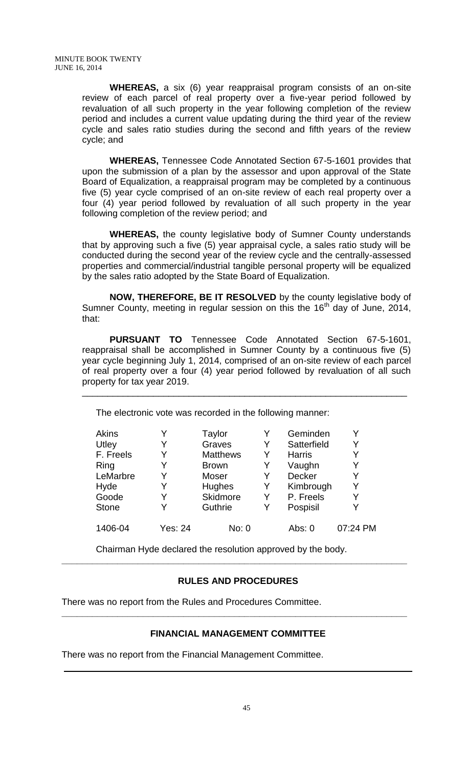**WHEREAS,** a six (6) year reappraisal program consists of an on-site review of each parcel of real property over a five-year period followed by revaluation of all such property in the year following completion of the review period and includes a current value updating during the third year of the review cycle and sales ratio studies during the second and fifth years of the review cycle; and

**WHEREAS,** Tennessee Code Annotated Section 67-5-1601 provides that upon the submission of a plan by the assessor and upon approval of the State Board of Equalization, a reappraisal program may be completed by a continuous five (5) year cycle comprised of an on-site review of each real property over a four (4) year period followed by revaluation of all such property in the year following completion of the review period; and

**WHEREAS,** the county legislative body of Sumner County understands that by approving such a five (5) year appraisal cycle, a sales ratio study will be conducted during the second year of the review cycle and the centrally-assessed properties and commercial/industrial tangible personal property will be equalized by the sales ratio adopted by the State Board of Equalization.

**NOW, THEREFORE, BE IT RESOLVED** by the county legislative body of Sumner County, meeting in regular session on this the  $16<sup>th</sup>$  day of June, 2014, that:

**PURSUANT TO** Tennessee Code Annotated Section 67-5-1601, reappraisal shall be accomplished in Sumner County by a continuous five (5) year cycle beginning July 1, 2014, comprised of an on-site review of each parcel of real property over a four (4) year period followed by revaluation of all such property for tax year 2019.

\_\_\_\_\_\_\_\_\_\_\_\_\_\_\_\_\_\_\_\_\_\_\_\_\_\_\_\_\_\_\_\_\_\_\_\_\_\_\_\_\_\_\_\_\_\_\_\_\_\_\_\_\_\_\_\_\_\_\_\_\_\_\_\_

The electronic vote was recorded in the following manner:

| <b>Akins</b> | Y       | Taylor          |   | Geminden      | Y        |
|--------------|---------|-----------------|---|---------------|----------|
| Utley        | Y       | Graves          | Y | Satterfield   | Y        |
| F. Freels    | Y       | <b>Matthews</b> | Y | <b>Harris</b> | Y        |
| Ring         | Y       | <b>Brown</b>    | Y | Vaughn        | Y        |
| LeMarbre     | Y       | Moser           | Y | <b>Decker</b> | Y        |
| Hyde         | Y       | Hughes          | Y | Kimbrough     | Y        |
| Goode        | Y       | Skidmore        | Y | P. Freels     | Y        |
| <b>Stone</b> | Y       | Guthrie         | Y | Pospisil      | Y        |
| 1406-04      | Yes: 24 | No: 0           |   | Abs: 0        | 07:24 PM |

Chairman Hyde declared the resolution approved by the body.

# **RULES AND PROCEDURES**

**\_\_\_\_\_\_\_\_\_\_\_\_\_\_\_\_\_\_\_\_\_\_\_\_\_\_\_\_\_\_\_\_\_\_\_\_\_\_\_\_\_\_\_\_\_\_\_\_\_\_\_\_\_\_\_\_\_\_\_\_\_\_\_\_\_\_\_\_**

There was no report from the Rules and Procedures Committee.

# **FINANCIAL MANAGEMENT COMMITTEE**

**\_\_\_\_\_\_\_\_\_\_\_\_\_\_\_\_\_\_\_\_\_\_\_\_\_\_\_\_\_\_\_\_\_\_\_\_\_\_\_\_\_\_\_\_\_\_\_\_\_\_\_\_\_\_\_\_\_\_\_\_\_\_\_\_\_\_\_\_**

There was no report from the Financial Management Committee.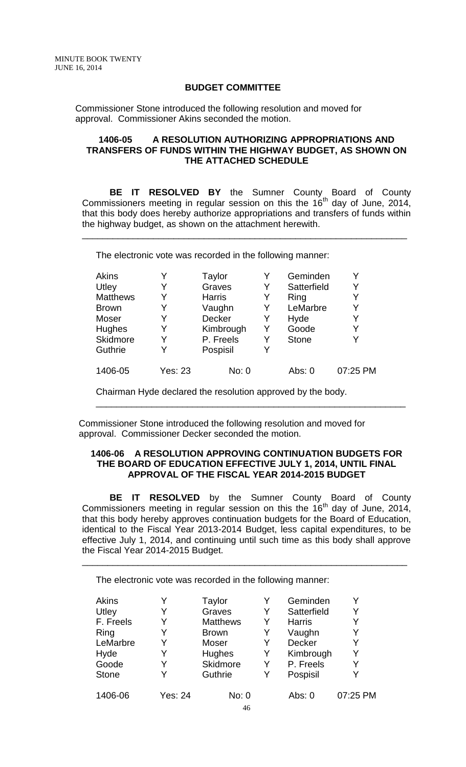## **BUDGET COMMITTEE**

Commissioner Stone introduced the following resolution and moved for approval. Commissioner Akins seconded the motion.

## **1406-05 A RESOLUTION AUTHORIZING APPROPRIATIONS AND TRANSFERS OF FUNDS WITHIN THE HIGHWAY BUDGET, AS SHOWN ON THE ATTACHED SCHEDULE**

**BE IT RESOLVED BY** the Sumner County Board of County Commissioners meeting in regular session on this the  $16<sup>th</sup>$  day of June, 2014, that this body does hereby authorize appropriations and transfers of funds within the highway budget, as shown on the attachment herewith.

\_\_\_\_\_\_\_\_\_\_\_\_\_\_\_\_\_\_\_\_\_\_\_\_\_\_\_\_\_\_\_\_\_\_\_\_\_\_\_\_\_\_\_\_\_\_\_\_\_\_\_\_\_\_\_\_\_\_\_\_\_\_\_\_

The electronic vote was recorded in the following manner:

| <b>Akins</b>    |                | Taylor        | Y | Geminden     |          |
|-----------------|----------------|---------------|---|--------------|----------|
| Utley           | Y              | Graves        | Y | Satterfield  | Y        |
| <b>Matthews</b> | Y              | <b>Harris</b> | Y | Ring         | Y        |
| <b>Brown</b>    | Y              | Vaughn        | Y | LeMarbre     | Y        |
| Moser           | Y              | Decker        | Y | Hyde         | Y        |
| Hughes          | Y              | Kimbrough     | Y | Goode        | Y        |
| <b>Skidmore</b> | Y              | P. Freels     | Y | <b>Stone</b> | Y        |
| <b>Guthrie</b>  | Y              | Pospisil      | Y |              |          |
| 1406-05         | <b>Yes: 23</b> | No: 0         |   | Abs: 0       | 07:25 PM |
|                 |                |               |   |              |          |

Chairman Hyde declared the resolution approved by the body.

Commissioner Stone introduced the following resolution and moved for approval. Commissioner Decker seconded the motion.

### **1406-06 A RESOLUTION APPROVING CONTINUATION BUDGETS FOR THE BOARD OF EDUCATION EFFECTIVE JULY 1, 2014, UNTIL FINAL APPROVAL OF THE FISCAL YEAR 2014-2015 BUDGET**

\_\_\_\_\_\_\_\_\_\_\_\_\_\_\_\_\_\_\_\_\_\_\_\_\_\_\_\_\_\_\_\_\_\_\_\_\_\_\_\_\_\_\_\_\_\_\_\_\_\_\_\_\_\_\_\_\_\_\_\_\_

**BE IT RESOLVED** by the Sumner County Board of County Commissioners meeting in regular session on this the  $16<sup>th</sup>$  day of June, 2014, that this body hereby approves continuation budgets for the Board of Education, identical to the Fiscal Year 2013-2014 Budget, less capital expenditures, to be effective July 1, 2014, and continuing until such time as this body shall approve the Fiscal Year 2014-2015 Budget.

\_\_\_\_\_\_\_\_\_\_\_\_\_\_\_\_\_\_\_\_\_\_\_\_\_\_\_\_\_\_\_\_\_\_\_\_\_\_\_\_\_\_\_\_\_\_\_\_\_\_\_\_\_\_\_\_\_\_\_\_\_\_\_\_

The electronic vote was recorded in the following manner:

| <b>Akins</b> | Y       | <b>Taylor</b>   | Y | Geminden      |          |
|--------------|---------|-----------------|---|---------------|----------|
| Utley        | Y       | Graves          | Y | Satterfield   | Y        |
| F. Freels    | Y       | <b>Matthews</b> | Y | <b>Harris</b> | Y        |
| Ring         | Y       | <b>Brown</b>    | Y | Vaughn        | Y        |
| LeMarbre     | Y       | <b>Moser</b>    | Y | Decker        | Y        |
| Hyde         | Y       | Hughes          | Y | Kimbrough     | Y        |
| Goode        | Y       | Skidmore        | Y | P. Freels     | Y        |
| <b>Stone</b> | Y       | Guthrie         | Y | Pospisil      | Y        |
| 1406-06      | Yes: 24 | No: 0           |   | Abs: $0$      | 07:25 PM |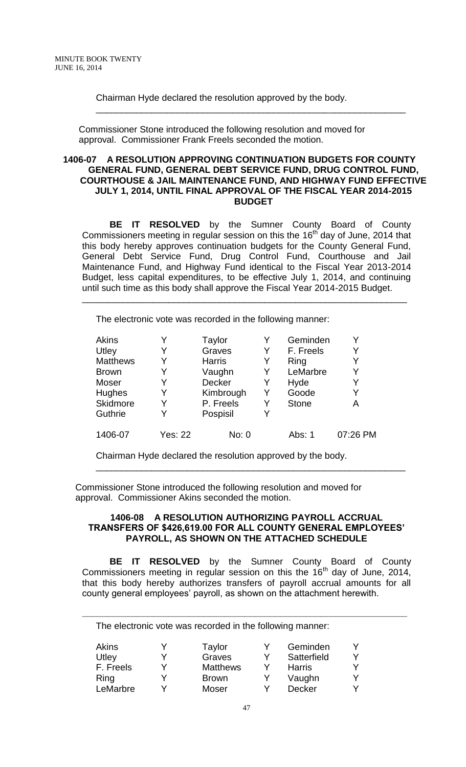Chairman Hyde declared the resolution approved by the body.

Commissioner Stone introduced the following resolution and moved for approval. Commissioner Frank Freels seconded the motion.

#### **1406-07 A RESOLUTION APPROVING CONTINUATION BUDGETS FOR COUNTY GENERAL FUND, GENERAL DEBT SERVICE FUND, DRUG CONTROL FUND, COURTHOUSE & JAIL MAINTENANCE FUND, AND HIGHWAY FUND EFFECTIVE JULY 1, 2014, UNTIL FINAL APPROVAL OF THE FISCAL YEAR 2014-2015 BUDGET**

\_\_\_\_\_\_\_\_\_\_\_\_\_\_\_\_\_\_\_\_\_\_\_\_\_\_\_\_\_\_\_\_\_\_\_\_\_\_\_\_\_\_\_\_\_\_\_\_\_\_\_\_\_\_\_\_\_\_\_\_\_

**BE IT RESOLVED** by the Sumner County Board of County Commissioners meeting in regular session on this the  $16<sup>th</sup>$  day of June, 2014 that this body hereby approves continuation budgets for the County General Fund, General Debt Service Fund, Drug Control Fund, Courthouse and Jail Maintenance Fund, and Highway Fund identical to the Fiscal Year 2013-2014 Budget, less capital expenditures, to be effective July 1, 2014, and continuing until such time as this body shall approve the Fiscal Year 2014-2015 Budget.

\_\_\_\_\_\_\_\_\_\_\_\_\_\_\_\_\_\_\_\_\_\_\_\_\_\_\_\_\_\_\_\_\_\_\_\_\_\_\_\_\_\_\_\_\_\_\_\_\_\_\_\_\_\_\_\_\_\_\_\_\_\_\_\_

The electronic vote was recorded in the following manner:

| Akins           |                | Taylor        |   | Geminden     |          |
|-----------------|----------------|---------------|---|--------------|----------|
| Utley           | Y              | Graves        | Y | F. Freels    | Y        |
| <b>Matthews</b> | Y              | <b>Harris</b> | Y | Ring         | Y        |
| <b>Brown</b>    | Y              | Vaughn        | Y | LeMarbre     | Y        |
| Moser           | Y              | Decker        | Y | Hyde         | Y        |
| <b>Hughes</b>   | Y              | Kimbrough     | Y | Goode        | Y        |
| <b>Skidmore</b> | Y              | P. Freels     | Y | <b>Stone</b> | Α        |
| <b>Guthrie</b>  | Y              | Pospisil      | Y |              |          |
| 1406-07         | <b>Yes: 22</b> | No: 0         |   | Abs: 1       | 07:26 PM |

Chairman Hyde declared the resolution approved by the body.

Commissioner Stone introduced the following resolution and moved for approval. Commissioner Akins seconded the motion.

#### **1406-08 A RESOLUTION AUTHORIZING PAYROLL ACCRUAL TRANSFERS OF \$426,619.00 FOR ALL COUNTY GENERAL EMPLOYEES' PAYROLL, AS SHOWN ON THE ATTACHED SCHEDULE**

\_\_\_\_\_\_\_\_\_\_\_\_\_\_\_\_\_\_\_\_\_\_\_\_\_\_\_\_\_\_\_\_\_\_\_\_\_\_\_\_\_\_\_\_\_\_\_\_\_\_\_\_\_\_\_\_\_\_\_\_\_

**BE IT RESOLVED** by the Sumner County Board of County Commissioners meeting in regular session on this the  $16<sup>th</sup>$  day of June, 2014, that this body hereby authorizes transfers of payroll accrual amounts for all county general employees' payroll, as shown on the attachment herewith.

**\_\_\_\_\_\_\_\_\_\_\_\_\_\_\_\_\_\_\_\_\_\_\_\_\_\_\_\_\_\_\_\_\_\_\_\_\_\_\_\_\_\_\_\_\_\_\_\_\_\_\_\_\_\_\_\_\_\_\_\_\_\_\_\_**

The electronic vote was recorded in the following manner:

| Akins     | Taylor          |   | Geminden      | Y |
|-----------|-----------------|---|---------------|---|
| Utley     | Graves          |   | Satterfield   | v |
| F. Freels | <b>Matthews</b> |   | Harris        | v |
| Ring      | <b>Brown</b>    |   | Vaughn        | v |
| LeMarbre  | Moser           | ∨ | <b>Decker</b> | v |